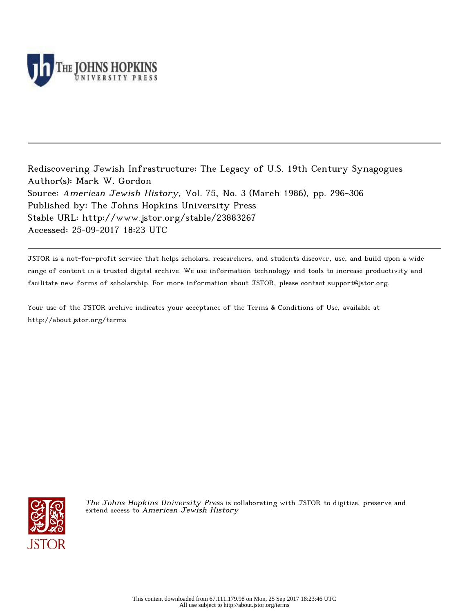

Rediscovering Jewish Infrastructure: The Legacy of U.S. 19th Century Synagogues Author(s): Mark W. Gordon Source: American Jewish History, Vol. 75, No. 3 (March 1986), pp. 296-306 Published by: The Johns Hopkins University Press Stable URL: http://www.jstor.org/stable/23883267 Accessed: 25-09-2017 18:23 UTC

JSTOR is a not-for-profit service that helps scholars, researchers, and students discover, use, and build upon a wide range of content in a trusted digital archive. We use information technology and tools to increase productivity and facilitate new forms of scholarship. For more information about JSTOR, please contact support@jstor.org.

Your use of the JSTOR archive indicates your acceptance of the Terms & Conditions of Use, available at http://about.jstor.org/terms



The Johns Hopkins University Press is collaborating with JSTOR to digitize, preserve and extend access to American Jewish History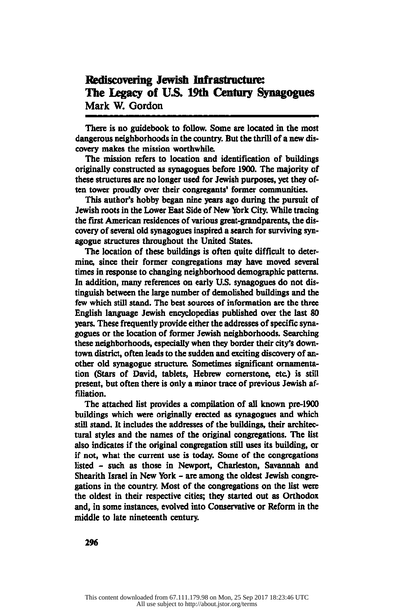# Rediscovering Jewish Infrastructure: The Legacy of U.S. 19th Century Synagogues Mark W. Gordon

There is no guidebook to follow. Some are located in the most dangerous neighborhoods in the country. But the thrill of a new dis covery makes the mission worthwhile.

The mission refers to location and identification of buildings originally constructed as synagogues before 1900. The majority of these structures are no longer used for Jewish purposes, yet they of ten tower proudly over their congregants' former communities.

This author's hobby began nine years ago during the pursuit of Jewish roots in the Lower East Side of New York City. While tracing the first American residences of various great-grandparents, the dis covery of several old synagogues inspired a search for surviving syn agogue structures throughout the United States.

The location of these buildings is often quite difficult to deter mine, since their former congregations may have moved several times in response to changing neighborhood demographic patterns. In addition, many references on early U.S. synagogues do not dis tinguish between the large number of demolished buildings and the few which still stand. The best sources of information are the three English language Jewish encyclopedias published over the last 80 years. These frequently provide either the addresses of specific syna gogues or the location of former Jewish neighborhoods. Searching these neighborhoods, especially when they border their city's down town district, often leads to the sudden and exciting discovery of an other old synagogue structure. Sometimes significant ornamenta tion (Stars of David, tablets, Hebrew cornerstone, etc.) is still present, but often there is only a minor trace of previous Jewish af filiation.

The attached list provides a compilation of all known pre-1900 buildings which were originally erected as synagogues and which still stand. It includes the addresses of the buildings, their architec tural styles and the names of the original congregations. The list also indicates if the original congregation still uses its building, or if not, what the current use is today. Some of the congregations listed - such as those in Newport, Charleston, Savannah and Shearith Israel in New York - are among the oldest Jewish congre gations in the country. Most of the congregations on the list were the oldest in their respective cities; they started out as Orthodox and, in some instances, evolved into Conservative or Reform in the middle to late nineteenth century.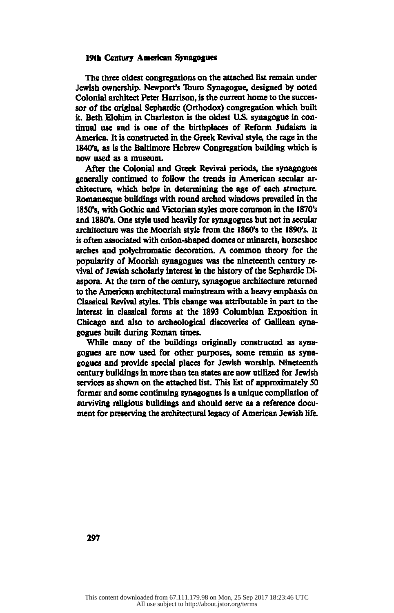#### 19th Century American Synagogues

The three oldest congregations on the attached list remain under Jewish ownership. Newport's Touro Synagogue, designed by noted Colonial architect Peter Harrison, is the current home to the succes sor of the original Sephardic (Orthodox) congregation which built it. Beth Elohim in Charleston is the oldest U.S. synagogue in con tinual use and is one of the birthplaces of Reform Judaism in America. It is constructed in the Greek Revival style, the rage in the 1840's, as is the Baltimore Hebrew Congregation building which is now used as a museum.

After the Colonial and Greek Revival periods, the synagogues generally continued to follow the trends in American secular ar chitecture, which helps in determining the age of each structure. Romanesque buildings with round arched windows prevailed in the 1850's, with Gothic and Victorian styles more common in the 1870's and 1880's. One style used heavily for synagogues but not in secular architecture was the Moorish style from the 1860's to the 1890's. It is often associated with onion-shaped domes or minarets, horseshoe arches and polychromatic decoration. A common theory for the popularity of Moorish synagogues was the nineteenth century re vival of Jewish scholarly interest in the history of the Sephardic Di aspora. At the turn of the century, synagogue architecture returned to the American architectural mainstream with a heavy emphasis on Classical Revival styles. This change was attributable in part to the interest in classical forms at the 1893 Columbian Exposition in Chicago and also to archeological discoveries of Galilean syna gogues built during Roman times.

While many of the buildings originally constructed as syna gogues are now used for other purposes, some remain as syna gogues and provide special places for Jewish worship. Nineteenth century buildings in more than ten states are now utilized for Jewish services as shown on the attached list. This list of approximately 50 former and some continuing synagogues is a unique compilation of surviving religious buildings and should serve as a reference docu ment for preserving the architectural legacy of American Jewish life.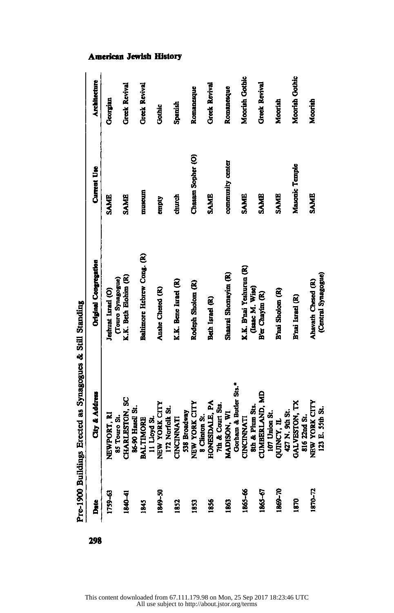| Date<br>D   | City & Address                                                                                                                                                                                                                                                                 | <b>Original Congregation</b> | <b>Current Use</b> | <b>Architecture</b>  |
|-------------|--------------------------------------------------------------------------------------------------------------------------------------------------------------------------------------------------------------------------------------------------------------------------------|------------------------------|--------------------|----------------------|
| 1759-63     | NEWPORT, RI                                                                                                                                                                                                                                                                    | Jeshuat Israel (O)           | <b>SAME</b>        | Georgian             |
|             |                                                                                                                                                                                                                                                                                | (Touro Synagogue)            |                    |                      |
| 1840-41     | 85 Touro St.<br>CHARLESTON, SC<br>SEARLESTON, SC<br>SEARLESTON 21.<br>BALTIMORE<br>II Lioyd St.<br>II Lioyd St.<br>TRY YORK CITY<br>IT Norfolk St.<br>IT Norfolk St.<br>SUS Broadway<br>SUSENALE, PA<br>HONESDALE, PA<br>HONESDALE, PA<br>CONDISON, WI<br>SUSENAND, WI<br>CONC | K.K. Beth Elohim (R)         | <b>SAME</b>        | <b>Greek Revival</b> |
|             |                                                                                                                                                                                                                                                                                |                              |                    |                      |
| 1845        |                                                                                                                                                                                                                                                                                | Baltimore Hebrew Cong. (R)   | muscum             | <b>Greek Revival</b> |
|             |                                                                                                                                                                                                                                                                                |                              |                    |                      |
| 1849-50     |                                                                                                                                                                                                                                                                                | Anshe Chesed (R)             | empty              | Gothic               |
|             |                                                                                                                                                                                                                                                                                |                              |                    |                      |
| 1852        |                                                                                                                                                                                                                                                                                | K.K. Bene Israel (R)         | church             | Spanish              |
|             |                                                                                                                                                                                                                                                                                |                              |                    |                      |
| 1853        |                                                                                                                                                                                                                                                                                | Rodeph Sholom (R)            | Chasam Sopher (O)  | Romancsque           |
|             |                                                                                                                                                                                                                                                                                |                              |                    |                      |
| 1856        |                                                                                                                                                                                                                                                                                | Beth Israel (R)              | <b>SAME</b>        | <b>Greek Revival</b> |
|             |                                                                                                                                                                                                                                                                                |                              |                    |                      |
| <b>S63</b>  |                                                                                                                                                                                                                                                                                | Shaarai Shomayim (R)         | community center   | Romanesque           |
|             |                                                                                                                                                                                                                                                                                |                              |                    |                      |
| 1865-66     |                                                                                                                                                                                                                                                                                | K.K. B'nai Yeshurun (R)      | SAME               | Moorish Gothic       |
|             |                                                                                                                                                                                                                                                                                | (Isaac M. Wise)              |                    |                      |
| 1865-67     |                                                                                                                                                                                                                                                                                | B'er Chayim (R)              | SAME               | <b>Greek Revival</b> |
|             |                                                                                                                                                                                                                                                                                |                              |                    |                      |
| 1869-70     |                                                                                                                                                                                                                                                                                | B'nai Sholom (R)             | SAME               | Moorish              |
|             |                                                                                                                                                                                                                                                                                |                              |                    |                      |
| <b>S291</b> |                                                                                                                                                                                                                                                                                | B'nai Israel (R)             | Masonic Temple     | Moorish Gothic       |
|             |                                                                                                                                                                                                                                                                                |                              |                    |                      |
| 1870-72     |                                                                                                                                                                                                                                                                                | Ahavath Chesed (R)           | SAME               | Moorish              |
|             |                                                                                                                                                                                                                                                                                | (Central Synagogue)          |                    |                      |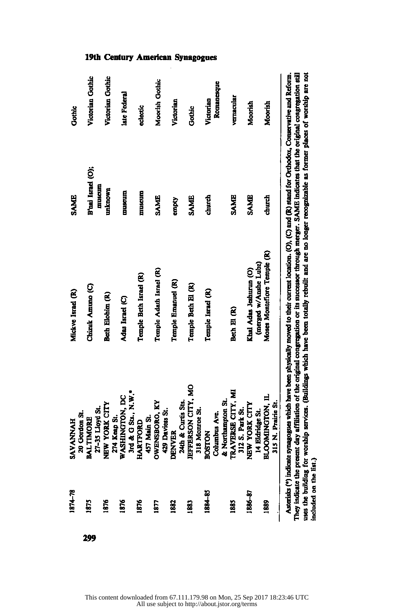|     | 1874-78                   | <b>SAVANNAH</b>                                                                                                                                                                                                     | Mickve Israel (R)                                                                                                                                           | SAME              | <b>Gothic</b>    |
|-----|---------------------------|---------------------------------------------------------------------------------------------------------------------------------------------------------------------------------------------------------------------|-------------------------------------------------------------------------------------------------------------------------------------------------------------|-------------------|------------------|
|     |                           | 20 Gordon St.                                                                                                                                                                                                       |                                                                                                                                                             |                   |                  |
| 299 | 1875                      | BALTIMORE<br>27-35 Lloyd St.                                                                                                                                                                                        | Chizuk Amuno (C)                                                                                                                                            | B'nai Israel (O); | Victorian Gothic |
|     |                           |                                                                                                                                                                                                                     |                                                                                                                                                             | muscum            |                  |
|     | 1876                      | NEW YORK CITY                                                                                                                                                                                                       | Beth Elohim (R)                                                                                                                                             | unknown           | Victorian Gothic |
|     |                           | 274 Keap St.                                                                                                                                                                                                        |                                                                                                                                                             |                   |                  |
|     | 1876                      | WASHINGTON, DC<br>3rd & G Sts., N.W.*                                                                                                                                                                               | Adas Israel (C)                                                                                                                                             | museum            | late Federal     |
|     |                           |                                                                                                                                                                                                                     |                                                                                                                                                             |                   |                  |
|     | 1876                      | HARTFORD<br>457 Main St.                                                                                                                                                                                            | Temple Beth Israel (R)                                                                                                                                      | muscum            | eclectic         |
|     |                           |                                                                                                                                                                                                                     |                                                                                                                                                             |                   |                  |
|     | 1877                      |                                                                                                                                                                                                                     | Temple Adath Israel (R)                                                                                                                                     | SAME              | Moorish Gothic   |
|     |                           |                                                                                                                                                                                                                     |                                                                                                                                                             |                   |                  |
|     | 1882                      |                                                                                                                                                                                                                     | Temple Emanuel (R)                                                                                                                                          | empty             | Victorian        |
|     |                           |                                                                                                                                                                                                                     |                                                                                                                                                             |                   |                  |
|     | 1883                      |                                                                                                                                                                                                                     | Temple Beth El (R)                                                                                                                                          | <b>SAME</b>       | Gothic           |
|     |                           |                                                                                                                                                                                                                     |                                                                                                                                                             |                   |                  |
|     | 1884-85                   | OWENSBORO, KY<br>429 Daviess St.<br>DENVER<br>24th & Curtis Sts.<br>JEFFERSON CITY, MO<br>318 Monroe St.<br>318 Monroe St.<br>--------<br>Columbus Ave.<br>& Northampton St.<br>TRAVERSE CITY, MI<br>312 S. Part e. | Temple Israel (R)                                                                                                                                           | church            | Victorian        |
|     |                           |                                                                                                                                                                                                                     |                                                                                                                                                             |                   | Romanesque       |
|     |                           |                                                                                                                                                                                                                     |                                                                                                                                                             |                   |                  |
|     | 1885                      |                                                                                                                                                                                                                     | Beth El (R)                                                                                                                                                 | <b>SAME</b>       | vernacular       |
|     |                           |                                                                                                                                                                                                                     |                                                                                                                                                             |                   |                  |
|     | 1886-87                   | NEW YORK CITY                                                                                                                                                                                                       | Khal Adas Jeshurun (O)                                                                                                                                      | <b>SAME</b>       | Moorish          |
|     |                           | Eldridge St.<br>ュュ                                                                                                                                                                                                  | (merged w/Anshe Lubz)                                                                                                                                       |                   |                  |
|     | 1889                      | <b>DOMINGTON, IL</b>                                                                                                                                                                                                | Moses Monteflore Temple (R)                                                                                                                                 | church            | Moorish          |
|     |                           | 5 N. Prairie St.                                                                                                                                                                                                    |                                                                                                                                                             |                   |                  |
|     |                           |                                                                                                                                                                                                                     | Asterists (*) indicate synagogues which have been physically moved to their current location. (C), (C) and (R) stand for Orthodox, Conservative and Reform. |                   |                  |
|     |                           |                                                                                                                                                                                                                     |                                                                                                                                                             |                   |                  |
|     | They indicate the present |                                                                                                                                                                                                                     | t day affiliation of the original congregation or its successor through merger. SAME indicates that the original congregation still                         |                   |                  |
|     |                           |                                                                                                                                                                                                                     | uses the building for worship services. (Buildings which have been totally rebuilt and are no longer recognizable as former places of worship are not       |                   |                  |
|     | included on the list.)    |                                                                                                                                                                                                                     |                                                                                                                                                             |                   |                  |

This content downloaded from 67.111.179.98 on Mon, 25 Sep 2017 18:23:46 UTC All use subject to http://about.jstor.org/terms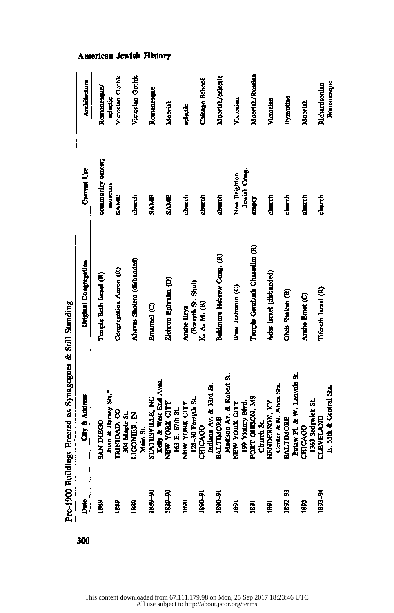| Date               | City & Address                                                                                                                                                                                                                                          | Original Congregation        | <b>Current Use</b> | Architecture     |
|--------------------|---------------------------------------------------------------------------------------------------------------------------------------------------------------------------------------------------------------------------------------------------------|------------------------------|--------------------|------------------|
| 1889               | SAN DEGC<br>Iuan & Harvey St."<br>Iuan & Harvey St."<br>IUAND, CO<br>SOA Manj St.<br>SOA Manj St.<br>Main St.<br>Kelly & West End Aves.<br>Kelly & West End Aves.<br>IGO R. CITY<br>IGN YORK CITY<br>IDS-90 Forsyth St.<br>IDS-90 Forsyth St.<br>IDS-90 | Temple Beth Israel (R)       | community center;  | Romanesque/      |
|                    |                                                                                                                                                                                                                                                         |                              | museum             | edectic          |
| 1889<br>1889       |                                                                                                                                                                                                                                                         | Congregation Aaron (R)       | SAME               | Victorian Gothic |
|                    |                                                                                                                                                                                                                                                         |                              |                    |                  |
|                    |                                                                                                                                                                                                                                                         | Ahavas Sholem (disbanded)    | र्टी<br>टीपटर्ट    | Victorian Gothic |
|                    |                                                                                                                                                                                                                                                         |                              |                    |                  |
| 06-6881<br>06-6881 |                                                                                                                                                                                                                                                         | Emanuel (C)                  | <b>SAME</b>        | Romanesque       |
|                    |                                                                                                                                                                                                                                                         |                              |                    |                  |
|                    |                                                                                                                                                                                                                                                         | Zichron Ephraim (O)          | <b>SAME</b>        | Moorish          |
|                    |                                                                                                                                                                                                                                                         |                              |                    |                  |
| 1890<br>1890-91    |                                                                                                                                                                                                                                                         | Anshe Lleya                  | church             | eclectic         |
|                    |                                                                                                                                                                                                                                                         | (Porsyth St. Shul)           |                    |                  |
|                    |                                                                                                                                                                                                                                                         | K. A. M. (R)                 | church             | Chicago School   |
|                    |                                                                                                                                                                                                                                                         |                              |                    |                  |
| 1890-91            |                                                                                                                                                                                                                                                         | Baltimore Hebrew Cong. (R)   | church             | Moorish/eclectic |
|                    |                                                                                                                                                                                                                                                         |                              |                    |                  |
| 1891               |                                                                                                                                                                                                                                                         | B'nai Jeshurun (C)           | New Brighton       | Victorian        |
|                    |                                                                                                                                                                                                                                                         |                              | Jewish Cong.       |                  |
| 1891               |                                                                                                                                                                                                                                                         | Temple Gemiluth Chasadim (R) | empty              | Moorish/Russian  |
|                    |                                                                                                                                                                                                                                                         |                              |                    |                  |
| 1891               |                                                                                                                                                                                                                                                         | Adas Israel (disbanded)      | church             | Victorian        |
|                    |                                                                                                                                                                                                                                                         |                              |                    |                  |
| 1892-93            |                                                                                                                                                                                                                                                         | Oheb Shalom (R)              | church             | Byzantine        |
|                    |                                                                                                                                                                                                                                                         |                              |                    |                  |
| 1893               |                                                                                                                                                                                                                                                         | Anshe Ernet (C)              | church             | Moorish          |
|                    |                                                                                                                                                                                                                                                         |                              |                    |                  |
| <b>1891-94</b>     |                                                                                                                                                                                                                                                         | Tifereth Israel (R)          | church             | Richardsonian    |
|                    |                                                                                                                                                                                                                                                         |                              |                    | Romanesque       |

Pre-1900 Buildings Erected as Synagogues & Still Standing

300

American Jewish History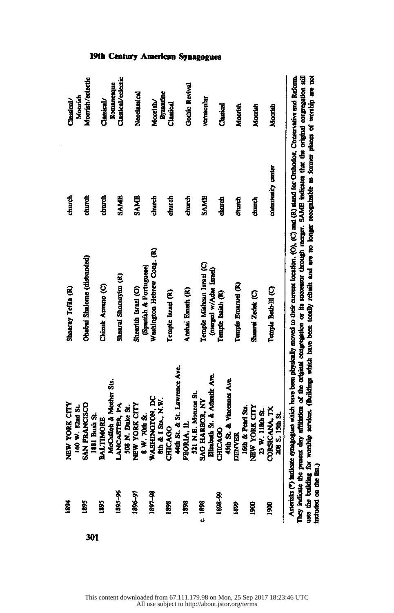|     | 1881                      | NEW YORK CITY                                                        | Shaaray Tefila (R)                                                                                                                                                                                                                                                                              | church           | Classical/            |
|-----|---------------------------|----------------------------------------------------------------------|-------------------------------------------------------------------------------------------------------------------------------------------------------------------------------------------------------------------------------------------------------------------------------------------------|------------------|-----------------------|
|     |                           | 160 W. 82nd St.                                                      |                                                                                                                                                                                                                                                                                                 |                  | Moorish               |
|     | 1895                      | <b>SAN FRANCISCO</b>                                                 | Obabai Shalome (disbanded)                                                                                                                                                                                                                                                                      | church           | Moorish/eclertic      |
| 301 |                           | 1881 Bush St.                                                        |                                                                                                                                                                                                                                                                                                 |                  |                       |
|     | 1895                      | <b>BALTIMORE</b>                                                     | Chizuk Amuno (C)                                                                                                                                                                                                                                                                                | church           | Classical/            |
|     |                           | McCuilob & Mother Sts.                                               |                                                                                                                                                                                                                                                                                                 |                  | Romancaque            |
|     | 1895-96                   |                                                                      | Shaarai Shomayim (R)                                                                                                                                                                                                                                                                            | <b>SAME</b>      | Classical/eclectic    |
|     |                           | McCulloh & Mooh<br>LANCASTER, PA<br>508 N. Dute St.<br>NEW YORK CITY |                                                                                                                                                                                                                                                                                                 |                  |                       |
|     | 1896-97                   |                                                                      | Shearith Israel (O)                                                                                                                                                                                                                                                                             | <b>SAME</b>      | Neoclassical          |
|     |                           | W. 70th St.<br>$\bullet$                                             | (Spanish & Portuguese)                                                                                                                                                                                                                                                                          |                  |                       |
|     | 1897-98                   |                                                                      | Washington Hebrew Cong. (R)                                                                                                                                                                                                                                                                     | dhurdi           | Moorish/              |
|     |                           | WASHINGTON, DC<br>8th & I Sta., N.W.                                 |                                                                                                                                                                                                                                                                                                 |                  | Byzantine             |
|     | 1898                      | <b>CHICAGO</b>                                                       | Temple Israel (R)                                                                                                                                                                                                                                                                               | church           | Classical             |
|     |                           | Ath St. & St. Lawrence Ave.                                          |                                                                                                                                                                                                                                                                                                 |                  |                       |
|     | 1898                      | PEORIA, IL                                                           | Anshai Emeth (R)                                                                                                                                                                                                                                                                                | church           | <b>Gothic Revival</b> |
|     |                           |                                                                      |                                                                                                                                                                                                                                                                                                 |                  |                       |
|     | 0.1898                    | 321 N.E. Monroe St.<br>SAG HARBOR, NY                                | Temple Mishcan Israel (C)                                                                                                                                                                                                                                                                       | SAME             | vernacular            |
|     |                           | Elizabeth St. & Atlantic Ave.                                        | (merged w/Adas Israel)                                                                                                                                                                                                                                                                          |                  |                       |
|     | 1898-99                   | <b>CHICAGO</b>                                                       | Temple Isaiah (R)                                                                                                                                                                                                                                                                               | ਹੀਸ਼ਹਾਦੀ<br>ਦੱ   | Classical             |
|     |                           | 15th St. & Vincennes Ave.                                            |                                                                                                                                                                                                                                                                                                 |                  |                       |
|     | Š.                        | <b>DENVER</b>                                                        | Temple Emanuel (R)                                                                                                                                                                                                                                                                              | दोपाटी           | Moorish               |
|     |                           | 6th & Pearl Sta.                                                     |                                                                                                                                                                                                                                                                                                 |                  |                       |
|     | 8                         | NEW YORK CITY                                                        | Shaarei Zodek (C)                                                                                                                                                                                                                                                                               | diurti           | Moorish               |
|     |                           | 23 W. 118th St.                                                      |                                                                                                                                                                                                                                                                                                 |                  |                       |
|     | ĝ                         | CORSICANA, TX                                                        | Temple Bed-El (C)                                                                                                                                                                                                                                                                               | community center | Moorish               |
|     |                           | 208 S. 15th St.                                                      |                                                                                                                                                                                                                                                                                                 |                  |                       |
|     |                           |                                                                      |                                                                                                                                                                                                                                                                                                 |                  |                       |
|     | They indicate the present |                                                                      | Asterists (*) indicate synagogues which have been physically moved to their current location. (O), (C) and (R) mand for Onthodox, Conservative and Reform.<br>day affiliation of the original congregation or its successor through merger. SAME indicates that the original congregation stiff |                  |                       |
|     |                           |                                                                      | uses the building for worship services. (Buildings which have been totally rebuilt and are no longer recognizable as former places of worship are not                                                                                                                                           |                  |                       |
|     | included on the list.)    |                                                                      |                                                                                                                                                                                                                                                                                                 |                  |                       |
|     |                           |                                                                      |                                                                                                                                                                                                                                                                                                 |                  |                       |

#### 19th Century American Synagogues

l.

This content downloaded from 67.111.179.98 on Mon, 25 Sep 2017 18:23:46 UTC All use subject to http://about.jstor.org/terms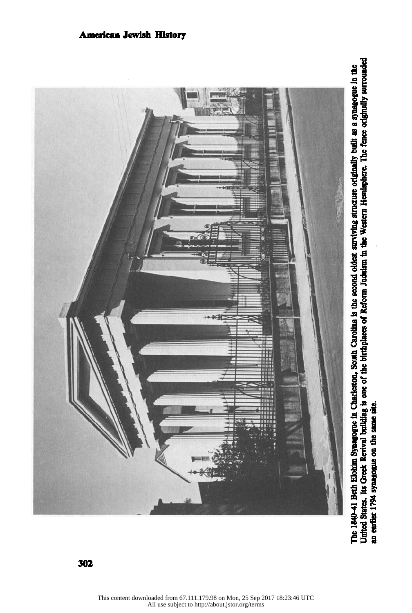

The 1840-41 Beth Elohim Synagogue in Charleston, South Carolina is the second oldest surviving structure originally built as a synagogue in the<br>United States. Its Greek Revival building is one of the birthplaces of Reform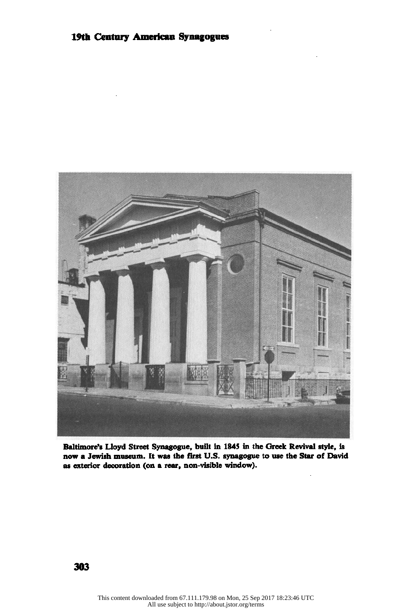

Baltimore's Lloyd Street Synagogue, built in 1845 in the Greek Revival style, is now a Jewish museum. It was the first U.S. synagogue to use the Star of David as exterior decoration (on a rear, non-visible window).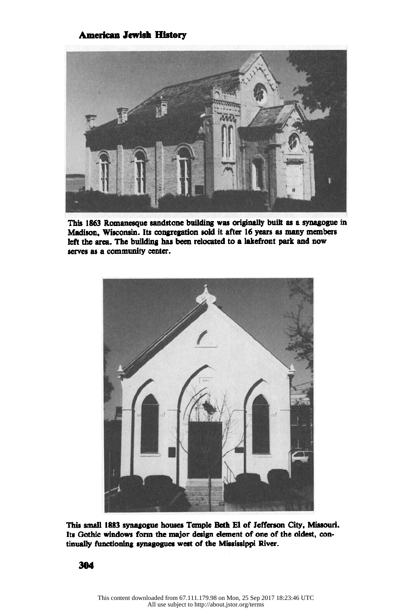

This 1863 Romanesque sandstone building was originally built as a synagogue in Madison, Wisconsin. Its congregation sold it after 16 years as many members left the area. The building has been relocated to a lakefront park and now serves as a community center.



This small 1883 synagogue houses Temple Beth El of Jefferson City, Missouri. Its Gothic windows form the major design element of one of the oldest, con tinually functioning synagogues west of the Mississippi River.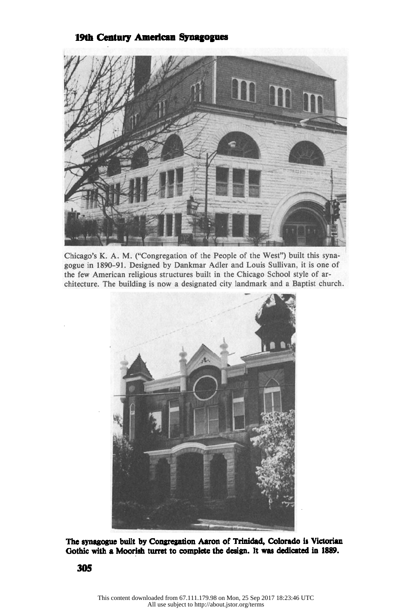#### 19th Century American Synagogues



Chicago's K. A. M. ("Congregation of the People of the West") built this syna gogue in 1890-91. Designed by Dankmar Adler and Louis Sullivan, it is one of the few American religious structures built in the Chicago School style of ar chitecture. The building is now a designated city landmark and a Baptist church.



The synagogue built by Congregation Aaron of Trinidad, Colorado is Victorian Gothic with a Moorish turret to complete the design. It was dedicated in 1889.